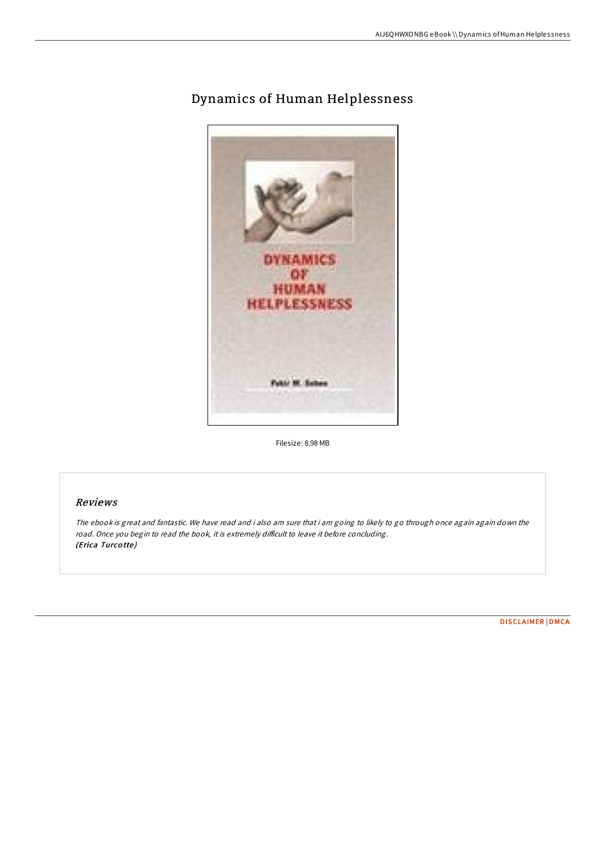

## Dynamics of Human Helplessness

Filesize: 8.98 MB

## Reviews

The ebook is great and fantastic. We have read and i also am sure that i am going to likely to go through once again again down the road. Once you begin to read the book, it is extremely difficult to leave it before concluding. (Erica Turcotte)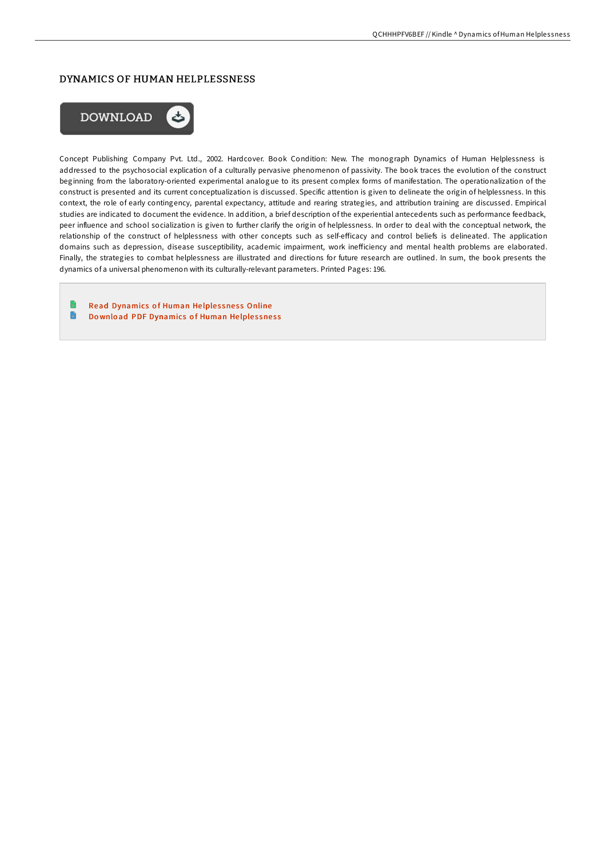## DYNAMICS OF HUMAN HELPLESSNESS



Concept Publishing Company Pvt. Ltd., 2002. Hardcover. Book Condition: New. The monograph Dynamics of Human Helplessness is addressed to the psychosocial explication of a culturally pervasive phenomenon of passivity. The book traces the evolution of the construct beginning from the laboratory-oriented experimental analogue to its present complex forms of manifestation. The operationalization of the construct is presented and its current conceptualization is discussed. Specific attention is given to delineate the origin of helplessness. In this context, the role of early contingency, parental expectancy, attitude and rearing strategies, and attribution training are discussed. Empirical studies are indicated to document the evidence. In addition, a brief description of the experiential antecedents such as performance feedback, peer influence and school socialization is given to further clarify the origin of helplessness. In order to deal with the conceptual network, the relationship of the construct of helplessness with other concepts such as self-efficacy and control beliefs is delineated. The application domains such as depression, disease susceptibility, academic impairment, work inefficiency and mental health problems are elaborated. Finally, the strategies to combat helplessness are illustrated and directions for future research are outlined. In sum, the book presents the dynamics of a universal phenomenon with its culturally-relevant parameters. Printed Pages: 196.

Read [Dynamics](http://almighty24.tech/dynamics-of-human-helplessness.html) of Human Helplessness Online  $\blacksquare$ Download PDF [Dynamics](http://almighty24.tech/dynamics-of-human-helplessness.html) of Human Helplessness